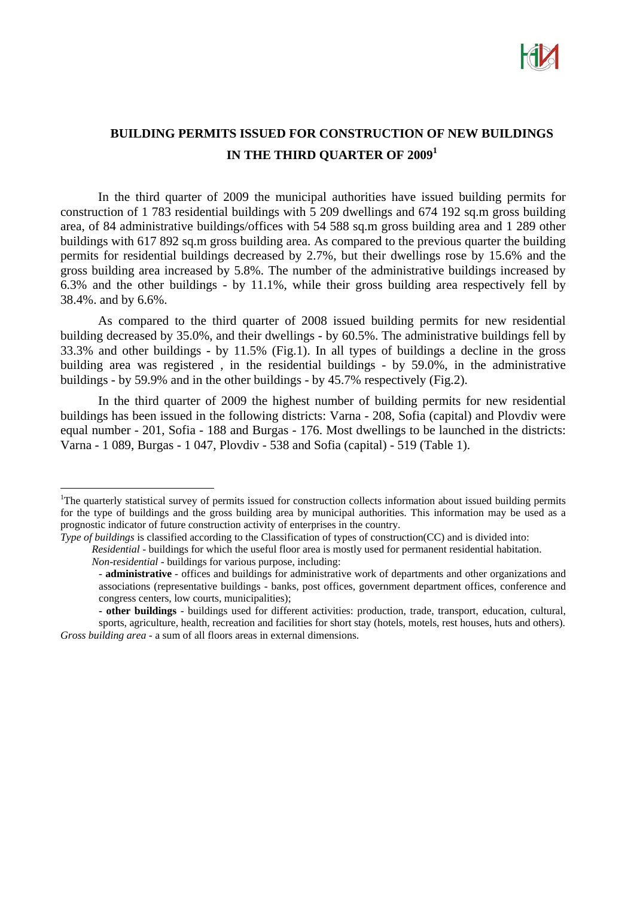

## **BUILDING PERMITS ISSUED FOR CONSTRUCTION OF NEW BUILDINGS IN THE THIRD QUARTER OF 2009<sup>1</sup>**

In the third quarter of 2009 the municipal authorities have issued building permits for construction of 1 783 residential buildings with 5 209 dwellings and 674 192 sq.m gross building area, of 84 administrative buildings/offices with 54 588 sq.m gross building area and 1 289 other buildings with 617 892 sq.m gross building area. As compared to the previous quarter the building permits for residential buildings decreased by 2.7%, but their dwellings rose by 15.6% and the gross building area increased by 5.8%. The number of the administrative buildings increased by 6.3% and the other buildings - by 11.1%, while their gross building area respectively fell by 38.4%. and by 6.6%.

As compared to the third quarter of 2008 issued building permits for new residential building decreased by 35.0%, and their dwellings - by 60.5%. The administrative buildings fell by 33.3% and other buildings - by 11.5% (Fig.1). In all types of buildings a decline in the gross building area was registered , in the residential buildings - by 59.0%, in the administrative buildings - by 59.9% and in the other buildings - by 45.7% respectively (Fig.2).

In the third quarter of 2009 the highest number of building permits for new residential buildings has been issued in the following districts: Varna - 208, Sofia (capital) and Plovdiv were equal number - 201, Sofia - 188 and Burgas - 176. Most dwellings to be launched in the districts: Varna - 1 089, Burgas - 1 047, Plovdiv - 538 and Sofia (capital) - 519 (Table 1).

 $\overline{a}$ 

*Residential* - buildings for which the useful floor area is mostly used for permanent residential habitation.  *Non*-r*esidential -* buildings for various purpose, including:

<sup>&</sup>lt;sup>1</sup>The quarterly statistical survey of permits issued for construction collects information about issued building permits for the type of buildings and the gross building area by municipal authorities. This information may be used as a prognostic indicator of future construction activity of enterprises in the country.

*Type of buildings* is classified according to the Classification of types of construction(CC) and is divided into:

<sup>-</sup> **administrative** - offices and buildings for administrative work of departments and other organizations and associations (representative buildings - banks, post offices, government department offices, conference and congress centers, low courts, municipalities);

**<sup>-</sup> other buildings** - buildings used for different activities: production, trade, transport, education, cultural, sports, agriculture, health, recreation and facilities for short stay (hotels, motels, rest houses, huts and others). *Gross building area* - a sum of all floors areas in external dimensions.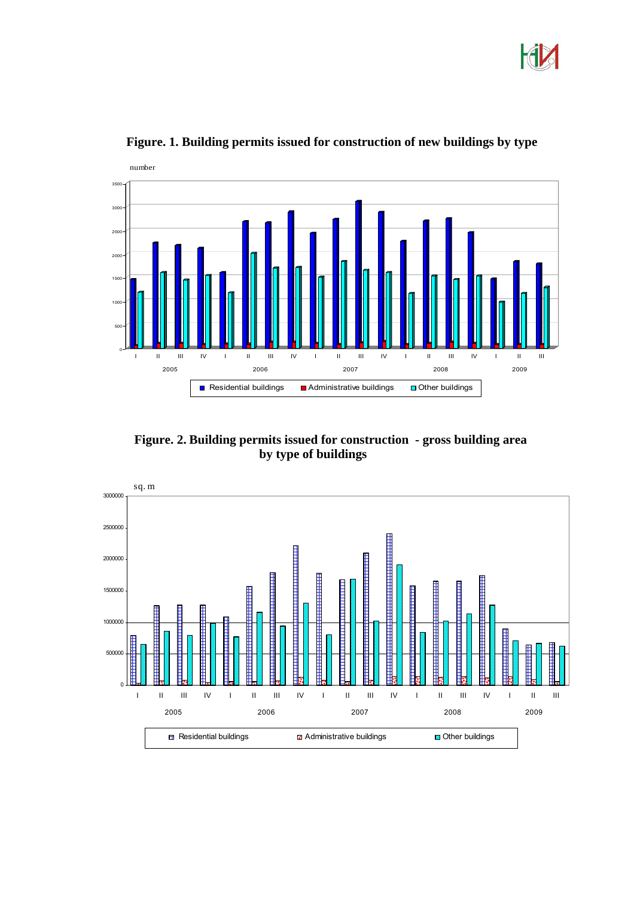



**Figure. 1. Building permits issued for construction of new buildings by type**

 **Figure. 2. Building permits issued for construction - gross building area by type of buildings**